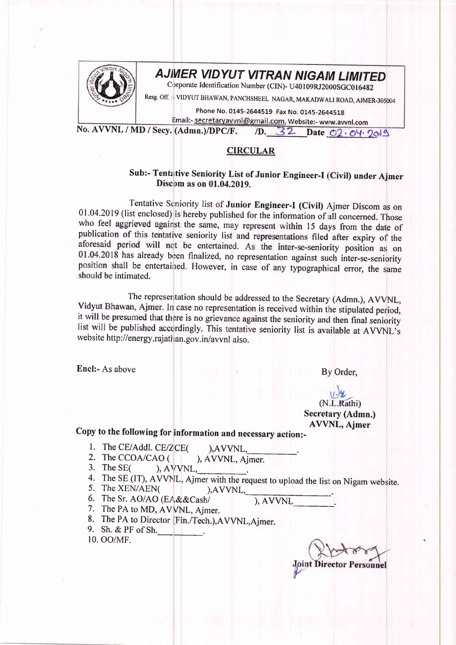

## AJMER VIDYUT VITRAN NIGAM LIMITED

Corporate Identification Number (CIN)- U40109RJ2000SGC016482

Resg. Off.: VIDYUT BHAWAN, PANCHSHEEL NAGAR, MAKADWALI ROAD, AJMER-305004

Phone No. 0145-2644519 Fax No. 0145-2644518 Email:- secretaryavvnl@gmail.com, Website:- www.avvnl.com

No. AVVNL / MD / Secy. (Admn.)/DPC/F. /D. 32 Date 02.04.2019

## **CIRCULAR**

## Sub:- Tentative Seniority List of Junior Engineer-I (Civil) under Ajmer Discom as on 01.04.2019.

Tentative Seniority list of Junior Engineer-I (Civil) Ajmer Discom as on 01.04.2019 (list enclosed) is hereby published for the information of all concerned. Those who feel aggrieved against the same, may represent within 15 days from the date of publication of this tentative seniority list and representations filed after expiry of the aforesaid period will not be entertained. As the inter-se-seniority position as on 01.04.2018 has already been finalized, no representation against such inter-se-seniority position shall be entertained. However, in case of any typographical error, the same should be intimated.

The represeritation should be addressed to the Secretary (Admn.), AVVNL, Vidyut Bhawan, Ajmer. In case no representation is received within the stipulated period, it will be presumed that there is no grievance against the seniority and then final seniority list will be published accordingly. This tentative seniority list is available at AVVNL's website http://energy.rajathan.gov.in/avvnl also.

Encl:- As above

By Order.

(N.L.Rathi) Secretary (Admn.) **AVVNL, Ajmer** 

## Copy to the following for information and necessary action:-

- 1. The CE/Addl. CE/ZCE( ), AVVNL.
- 2. The CCOA/CAO ( ), AVVNL, Ajmer.
- 3. The SE $\epsilon$ ), AVVNL,
- 4. The SE (IT), AVVNL, Ajmer with the request to upload the list on Nigam website.

 $AVVNL$ ,

- 5. The XEN/AEN(
- 6. The Sr. AO/AO (EA&&Cash/

), AVVNL

- 7. The PA to MD, AVVNL, Ajmer.
- 8. The PA to Director (Fin./Tech.), AVVNL, Ajmer.
- 9. Sh. & PF of Sh.
- 10. OO/MF.

**Joint Direct** sonnel